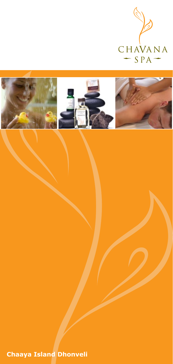



**Chaaya Island Dhonveli**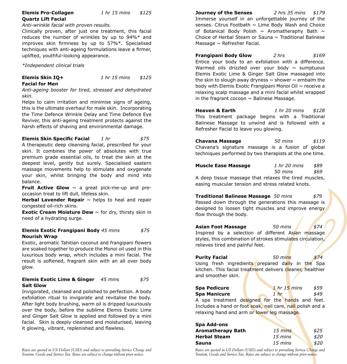## **Elemis Pro-Collagen** *1 hr 15 mins \$125* **Quartz Lift Facial**

*Anti-wrinkle facial with proven results.*

Clinically proven, after just one treatment, this facial reduces the number of wrinkles by up to 94%\* and improves skin firmness by up to 57%\*. Specialised techniques with anti-ageing formulations leave a firmer, uplifted, youthful-looking appearance.

*\*Independent clinical trials*

## **Elemis Skin IQ+** *1 hr 15 mins \$125* **Facial for Men**

*Anti-ageing booster for tired, stressed and dehydrated skin.* 

Helps to calm irritation and minimise signs of ageing, this is the ultimate overhaul for male skin. Incorporating the Time Defence Wrinkle Delay and Time Defence Eye Reviver, this anti-ageing treatment protects against the harsh effects of shaving and environmental damage.

**Elemis Skin Specific Facial** *1 hr \$75* A therapeutic deep cleansing facial, prescribed for your skin. It combines the power of absolutes with true premium grade essential oils, to treat the skin at the deepest level, gently but surely. Specialised eastern massage movements help to stimulate and oxygenate your skin, whilst bringing the body and mind into balance.

**Fruit Active Glow** ~ a great pick-me-up and preoccasion treat to lift dull, lifeless skin.

Herbal Lavender Repair ~ helps to heal and repair congested oil-rich skins.

**Exotic Cream Moisture Dew**  $\sim$  for drv, thirsty skin in need of a hydrating surge.

## **Elemis Exotic Frangipani Body** *45 mins \$75* **Nourish Wrap**

Exotic, aromatic Tahitian coconut and frangipani flowers are soaked together to produce the Monoi oil used in this luxurious body wrap, which includes a mini facial. The result is softened, fragrant skin with an all over body glow.

## **Elemis Exotic Lime & Ginger** *45 mins \$75* **Salt Glow**

Invigorated, cleansed and polished to perfection. A body exfoliation ritual to invigorate and revitalise the body. After light body brushing, warm oil is dripped luxuriously over the body, before the sublime Elemis Exotic Lime and Ginger Salt Glow is applied and followed by a mini facial. Skin is deeply cleansed and moisturised, leaving it glowing, vibrant, replenished and flawless.

*Rates are quoted in US Dollars (USD) and subject to prevailing Service Charge and Tourism, Goods and Service Tax. Rates are subject to change without prior notice.*

**Journey of the Senses** *2 hrs 35 mins \$179* Immerse yourself in an unforgettable journey of the senses. Citrus Footbath  $\sim$  Lime Body Wash and Choice of Botanical Body Polish  $\sim$  Aromatheraphy Bath  $\sim$ Choice of Herbal Steam or Sauna  $\sim$  Traditional Balinese Massage  $\sim$  Refresher Facial.

**Frangipani Body Glow** *2 hrs \$169* Entice your body to an exfoliation with a difference. Warmed oils drizzled over your body  $\sim$  sumptuous Elemis Exotic Lime & Ginger Salt Glow massaged into the skin to slough away dryness  $\sim$  shower  $\sim$  embalm the body with Elemis Exotic Frangipani Monoi Oil  $\sim$  receive a relaxing scalp massage and a mini facial whilst wrapped in the fragrant cocoon  $\sim$  Balinese Massage.

**Heaven & Earth** *1 hr 20 mins \$128* This treatment package begins with a Traditional Balinese Massage to unwind and is followed with a Refresher Facial to leave you glowing.

**Chavana Massage** *50 mins \$119* Chavana's signature massage is a fusion of global techniques performed by two therapists at the one time.

| <b>Muscle Ease Massage</b> | 1 hr 20 mins | \$89 |
|----------------------------|--------------|------|
|                            | 50 mins      | \$69 |
|                            |              |      |

A deep tissue massage that relaxes the tired muscles, easing muscular tension and stress related knots.

**Traditional Balinese Massage** *50 mins \$79* Passed down through the generations this massage is designed to loosen tight muscles and improve energy flow through the body.

**Asian Foot Massage** 50 mins \$74 Inspired by a selection of different Asian massage styles, this combination of strokes stimulates circulation, relieves tired and painful feet.

**Purity Facial** *50 mins \$74* Using fresh ingredients prepared daily in the Spa kitchen. This facial treatment delivers cleaner, healthier and smoother skin.

**Spa Pedicure 1** *nr* 15 *mins* \$59 **Spa Manicure 1 hr** \$49 A spa treatment designed for the hands and feet. Includes a hand or foot soak, nail care, nail polish and a relaxing hand and arm or lower leg massage.

| Spa Add-ons              |                   |      |
|--------------------------|-------------------|------|
| <b>Aromatherapy Bath</b> | $15 \text{ mins}$ | \$25 |
| <b>Herbal Steam</b>      | 15 mins           | \$20 |
| Sauna                    | 15 mins           | \$20 |

*Rates are quoted in US Dollars (USD) and subject to prevailing Service Charge and Tourism, Goods and Service Tax. Rates are subject to change without prior notice.*